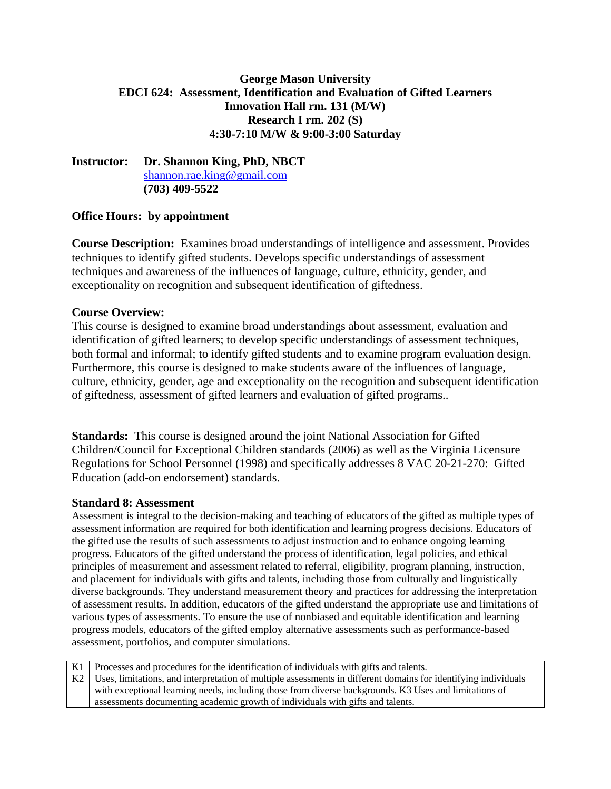## **George Mason University EDCI 624: Assessment, Identification and Evaluation of Gifted Learners Innovation Hall rm. 131 (M/W) Research I rm. 202 (S) 4:30-7:10 M/W & 9:00-3:00 Saturday**

**Instructor: Dr. Shannon King, PhD, NBCT**  shannon.rae.king@gmail.com **(703) 409-5522** 

## **Office Hours: by appointment**

**Course Description:** Examines broad understandings of intelligence and assessment. Provides techniques to identify gifted students. Develops specific understandings of assessment techniques and awareness of the influences of language, culture, ethnicity, gender, and exceptionality on recognition and subsequent identification of giftedness.

### **Course Overview:**

This course is designed to examine broad understandings about assessment, evaluation and identification of gifted learners; to develop specific understandings of assessment techniques, both formal and informal; to identify gifted students and to examine program evaluation design. Furthermore, this course is designed to make students aware of the influences of language, culture, ethnicity, gender, age and exceptionality on the recognition and subsequent identification of giftedness, assessment of gifted learners and evaluation of gifted programs..

**Standards:** This course is designed around the joint National Association for Gifted Children/Council for Exceptional Children standards (2006) as well as the Virginia Licensure Regulations for School Personnel (1998) and specifically addresses 8 VAC 20-21-270: Gifted Education (add-on endorsement) standards.

### **Standard 8: Assessment**

Assessment is integral to the decision-making and teaching of educators of the gifted as multiple types of assessment information are required for both identification and learning progress decisions. Educators of the gifted use the results of such assessments to adjust instruction and to enhance ongoing learning progress. Educators of the gifted understand the process of identification, legal policies, and ethical principles of measurement and assessment related to referral, eligibility, program planning, instruction, and placement for individuals with gifts and talents, including those from culturally and linguistically diverse backgrounds. They understand measurement theory and practices for addressing the interpretation of assessment results. In addition, educators of the gifted understand the appropriate use and limitations of various types of assessments. To ensure the use of nonbiased and equitable identification and learning progress models, educators of the gifted employ alternative assessments such as performance-based assessment, portfolios, and computer simulations.

| K1   Processes and procedures for the identification of individuals with gifts and talents.                         |
|---------------------------------------------------------------------------------------------------------------------|
| K2   Uses, limitations, and interpretation of multiple assessments in different domains for identifying individuals |
| with exceptional learning needs, including those from diverse backgrounds. K3 Uses and limitations of               |
| assessments documenting academic growth of individuals with gifts and talents.                                      |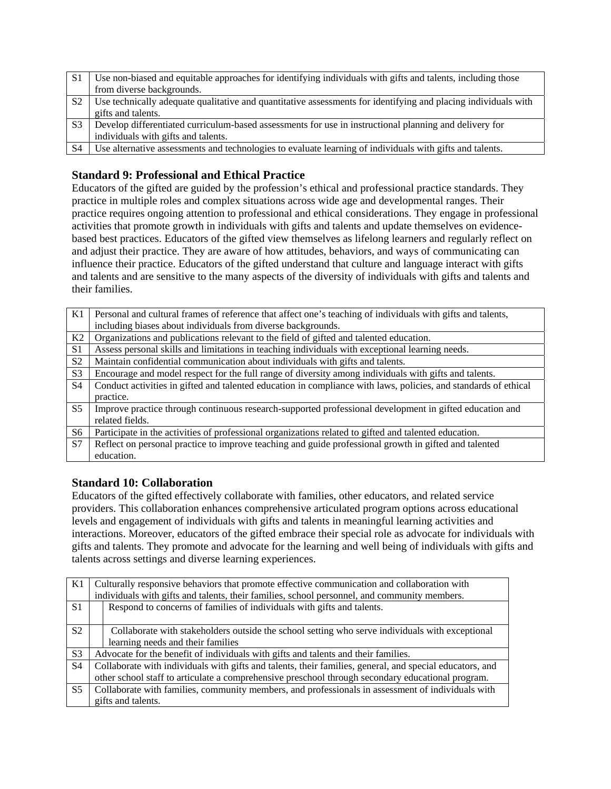| S1             | Use non-biased and equitable approaches for identifying individuals with gifts and talents, including those    |
|----------------|----------------------------------------------------------------------------------------------------------------|
|                | from diverse backgrounds.                                                                                      |
| S <sub>2</sub> | Use technically adequate qualitative and quantitative assessments for identifying and placing individuals with |
|                | gifts and talents.                                                                                             |
| S <sub>3</sub> | Develop differentiated curriculum-based assessments for use in instructional planning and delivery for         |
|                | individuals with gifts and talents.                                                                            |
| <b>S4</b>      | Use alternative assessments and technologies to evaluate learning of individuals with gifts and talents.       |

# **Standard 9: Professional and Ethical Practice**

Educators of the gifted are guided by the profession's ethical and professional practice standards. They practice in multiple roles and complex situations across wide age and developmental ranges. Their practice requires ongoing attention to professional and ethical considerations. They engage in professional activities that promote growth in individuals with gifts and talents and update themselves on evidencebased best practices. Educators of the gifted view themselves as lifelong learners and regularly reflect on and adjust their practice. They are aware of how attitudes, behaviors, and ways of communicating can influence their practice. Educators of the gifted understand that culture and language interact with gifts and talents and are sensitive to the many aspects of the diversity of individuals with gifts and talents and their families.

| K1             | Personal and cultural frames of reference that affect one's teaching of individuals with gifts and talents,     |
|----------------|-----------------------------------------------------------------------------------------------------------------|
|                | including biases about individuals from diverse backgrounds.                                                    |
| K2             | Organizations and publications relevant to the field of gifted and talented education.                          |
| S <sub>1</sub> | Assess personal skills and limitations in teaching individuals with exceptional learning needs.                 |
| S <sub>2</sub> | Maintain confidential communication about individuals with gifts and talents.                                   |
| S <sub>3</sub> | Encourage and model respect for the full range of diversity among individuals with gifts and talents.           |
| S <sub>4</sub> | Conduct activities in gifted and talented education in compliance with laws, policies, and standards of ethical |
|                | practice.                                                                                                       |
| S <sub>5</sub> | Improve practice through continuous research-supported professional development in gifted education and         |
|                | related fields.                                                                                                 |
| S <sub>6</sub> | Participate in the activities of professional organizations related to gifted and talented education.           |
| S7             | Reflect on personal practice to improve teaching and guide professional growth in gifted and talented           |
|                | education.                                                                                                      |
|                |                                                                                                                 |

## **Standard 10: Collaboration**

Educators of the gifted effectively collaborate with families, other educators, and related service providers. This collaboration enhances comprehensive articulated program options across educational levels and engagement of individuals with gifts and talents in meaningful learning activities and interactions. Moreover, educators of the gifted embrace their special role as advocate for individuals with gifts and talents. They promote and advocate for the learning and well being of individuals with gifts and talents across settings and diverse learning experiences.

| K1             | Culturally responsive behaviors that promote effective communication and collaboration with<br>individuals with gifts and talents, their families, school personnel, and community members. |
|----------------|---------------------------------------------------------------------------------------------------------------------------------------------------------------------------------------------|
| S <sub>1</sub> | Respond to concerns of families of individuals with gifts and talents.                                                                                                                      |
| S <sub>2</sub> | Collaborate with stakeholders outside the school setting who serve individuals with exceptional                                                                                             |
|                | learning needs and their families                                                                                                                                                           |
| S <sub>3</sub> | Advocate for the benefit of individuals with gifts and talents and their families.                                                                                                          |
| S <sub>4</sub> | Collaborate with individuals with gifts and talents, their families, general, and special educators, and                                                                                    |
|                | other school staff to articulate a comprehensive preschool through secondary educational program.                                                                                           |
| S <sub>5</sub> | Collaborate with families, community members, and professionals in assessment of individuals with                                                                                           |
|                | gifts and talents.                                                                                                                                                                          |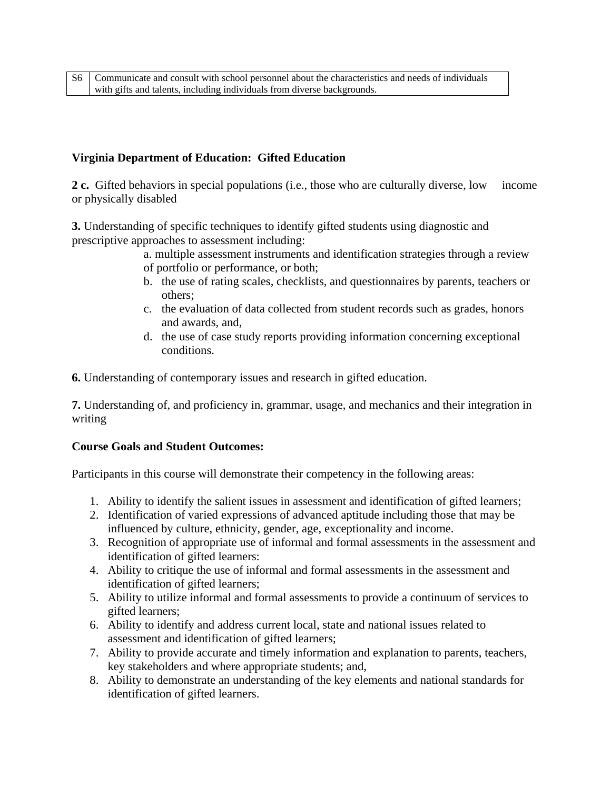## **Virginia Department of Education: Gifted Education**

**2 c.** Gifted behaviors in special populations (i.e., those who are culturally diverse, low income or physically disabled

**3.** Understanding of specific techniques to identify gifted students using diagnostic and prescriptive approaches to assessment including:

- a. multiple assessment instruments and identification strategies through a review of portfolio or performance, or both;
- b. the use of rating scales, checklists, and questionnaires by parents, teachers or others;
- c. the evaluation of data collected from student records such as grades, honors and awards, and,
- d. the use of case study reports providing information concerning exceptional conditions.

**6.** Understanding of contemporary issues and research in gifted education.

**7.** Understanding of, and proficiency in, grammar, usage, and mechanics and their integration in writing

## **Course Goals and Student Outcomes:**

Participants in this course will demonstrate their competency in the following areas:

- 1. Ability to identify the salient issues in assessment and identification of gifted learners;
- 2. Identification of varied expressions of advanced aptitude including those that may be influenced by culture, ethnicity, gender, age, exceptionality and income.
- 3. Recognition of appropriate use of informal and formal assessments in the assessment and identification of gifted learners:
- 4. Ability to critique the use of informal and formal assessments in the assessment and identification of gifted learners;
- 5. Ability to utilize informal and formal assessments to provide a continuum of services to gifted learners;
- 6. Ability to identify and address current local, state and national issues related to assessment and identification of gifted learners;
- 7. Ability to provide accurate and timely information and explanation to parents, teachers, key stakeholders and where appropriate students; and,
- 8. Ability to demonstrate an understanding of the key elements and national standards for identification of gifted learners.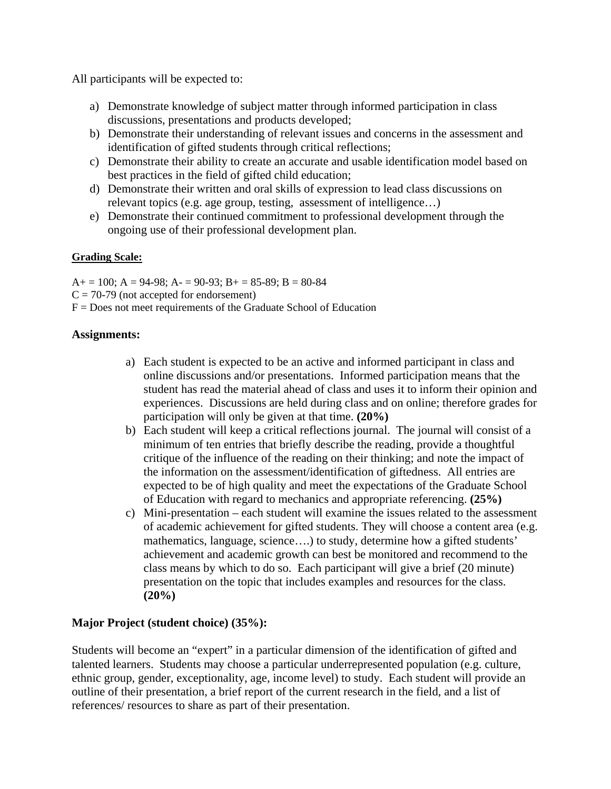All participants will be expected to:

- a) Demonstrate knowledge of subject matter through informed participation in class discussions, presentations and products developed;
- b) Demonstrate their understanding of relevant issues and concerns in the assessment and identification of gifted students through critical reflections;
- c) Demonstrate their ability to create an accurate and usable identification model based on best practices in the field of gifted child education;
- d) Demonstrate their written and oral skills of expression to lead class discussions on relevant topics (e.g. age group, testing, assessment of intelligence…)
- e) Demonstrate their continued commitment to professional development through the ongoing use of their professional development plan.

## **Grading Scale:**

 $A+=100$ ;  $A=94-98$ ;  $A=90-93$ ;  $B+=85-89$ ;  $B=80-84$  $C = 70-79$  (not accepted for endorsement)  $F = Does not meet requirements of the Graduate School of Education$ 

### **Assignments:**

- a) Each student is expected to be an active and informed participant in class and online discussions and/or presentations. Informed participation means that the student has read the material ahead of class and uses it to inform their opinion and experiences. Discussions are held during class and on online; therefore grades for participation will only be given at that time. **(20%)**
- b) Each student will keep a critical reflections journal. The journal will consist of a minimum of ten entries that briefly describe the reading, provide a thoughtful critique of the influence of the reading on their thinking; and note the impact of the information on the assessment/identification of giftedness. All entries are expected to be of high quality and meet the expectations of the Graduate School of Education with regard to mechanics and appropriate referencing. **(25%)**
- c) Mini-presentation each student will examine the issues related to the assessment of academic achievement for gifted students. They will choose a content area (e.g. mathematics, language, science....) to study, determine how a gifted students' achievement and academic growth can best be monitored and recommend to the class means by which to do so. Each participant will give a brief (20 minute) presentation on the topic that includes examples and resources for the class. **(20%)**

## **Major Project (student choice) (35%):**

Students will become an "expert" in a particular dimension of the identification of gifted and talented learners. Students may choose a particular underrepresented population (e.g. culture, ethnic group, gender, exceptionality, age, income level) to study. Each student will provide an outline of their presentation, a brief report of the current research in the field, and a list of references/ resources to share as part of their presentation.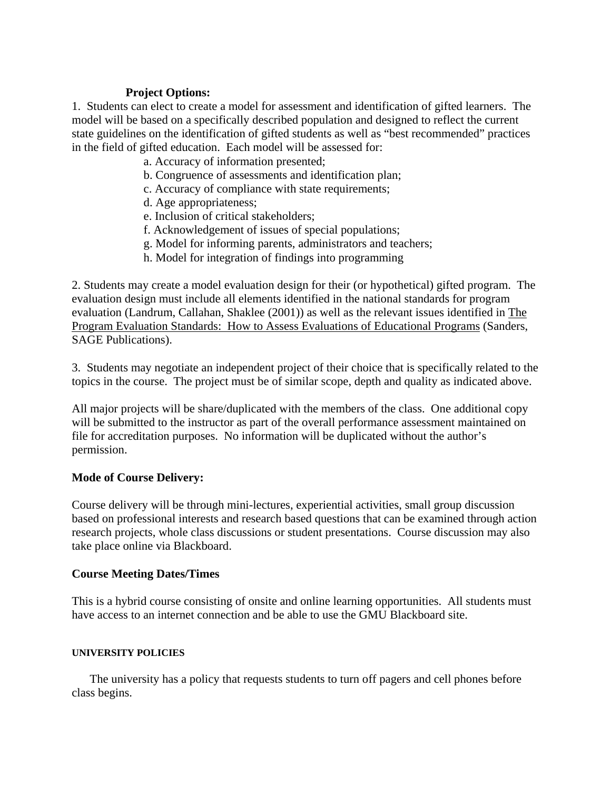## **Project Options:**

1. Students can elect to create a model for assessment and identification of gifted learners. The model will be based on a specifically described population and designed to reflect the current state guidelines on the identification of gifted students as well as "best recommended" practices in the field of gifted education. Each model will be assessed for:

a. Accuracy of information presented;

- b. Congruence of assessments and identification plan;
- c. Accuracy of compliance with state requirements;
- d. Age appropriateness;
- e. Inclusion of critical stakeholders;
- f. Acknowledgement of issues of special populations;
- g. Model for informing parents, administrators and teachers;
- h. Model for integration of findings into programming

2. Students may create a model evaluation design for their (or hypothetical) gifted program. The evaluation design must include all elements identified in the national standards for program evaluation (Landrum, Callahan, Shaklee (2001)) as well as the relevant issues identified in The Program Evaluation Standards: How to Assess Evaluations of Educational Programs (Sanders, SAGE Publications).

3. Students may negotiate an independent project of their choice that is specifically related to the topics in the course. The project must be of similar scope, depth and quality as indicated above.

All major projects will be share/duplicated with the members of the class. One additional copy will be submitted to the instructor as part of the overall performance assessment maintained on file for accreditation purposes. No information will be duplicated without the author's permission.

### **Mode of Course Delivery:**

Course delivery will be through mini-lectures, experiential activities, small group discussion based on professional interests and research based questions that can be examined through action research projects, whole class discussions or student presentations. Course discussion may also take place online via Blackboard.

### **Course Meeting Dates/Times**

This is a hybrid course consisting of onsite and online learning opportunities. All students must have access to an internet connection and be able to use the GMU Blackboard site.

### **UNIVERSITY POLICIES**

The university has a policy that requests students to turn off pagers and cell phones before class begins.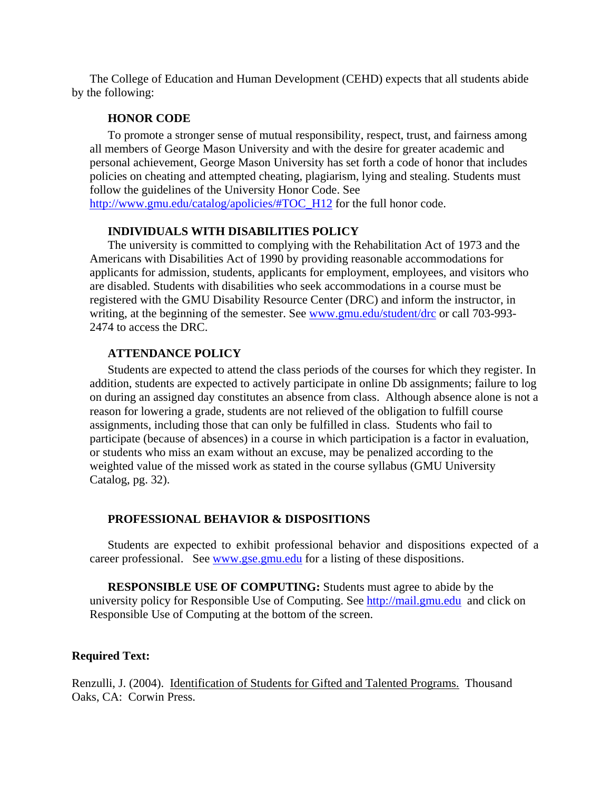The College of Education and Human Development (CEHD) expects that all students abide by the following:

#### **HONOR CODE**

To promote a stronger sense of mutual responsibility, respect, trust, and fairness among all members of George Mason University and with the desire for greater academic and personal achievement, George Mason University has set forth a code of honor that includes policies on cheating and attempted cheating, plagiarism, lying and stealing. Students must follow the guidelines of the University Honor Code. See http://www.gmu.edu/catalog/apolicies/#TOC\_H12 for the full honor code.

#### **INDIVIDUALS WITH DISABILITIES POLICY**

The university is committed to complying with the Rehabilitation Act of 1973 and the Americans with Disabilities Act of 1990 by providing reasonable accommodations for applicants for admission, students, applicants for employment, employees, and visitors who are disabled. Students with disabilities who seek accommodations in a course must be registered with the GMU Disability Resource Center (DRC) and inform the instructor, in writing, at the beginning of the semester. See www.gmu.edu/student/drc or call 703-993-2474 to access the DRC.

#### **ATTENDANCE POLICY**

Students are expected to attend the class periods of the courses for which they register. In addition, students are expected to actively participate in online Db assignments; failure to log on during an assigned day constitutes an absence from class. Although absence alone is not a reason for lowering a grade, students are not relieved of the obligation to fulfill course assignments, including those that can only be fulfilled in class. Students who fail to participate (because of absences) in a course in which participation is a factor in evaluation, or students who miss an exam without an excuse, may be penalized according to the weighted value of the missed work as stated in the course syllabus (GMU University Catalog, pg. 32).

#### **PROFESSIONAL BEHAVIOR & DISPOSITIONS**

Students are expected to exhibit professional behavior and dispositions expected of a career professional. See www.gse.gmu.edu for a listing of these dispositions.

**RESPONSIBLE USE OF COMPUTING:** Students must agree to abide by the university policy for Responsible Use of Computing. See http://mail.gmu.edu and click on Responsible Use of Computing at the bottom of the screen.

#### **Required Text:**

Renzulli, J. (2004). Identification of Students for Gifted and Talented Programs. Thousand Oaks, CA: Corwin Press.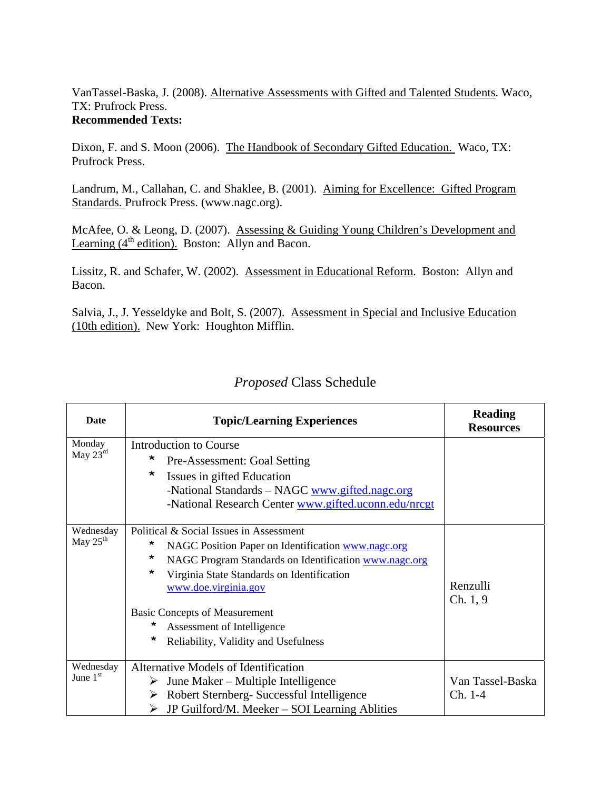VanTassel-Baska, J. (2008). Alternative Assessments with Gifted and Talented Students. Waco, TX: Prufrock Press. **Recommended Texts:** 

Dixon, F. and S. Moon (2006). The Handbook of Secondary Gifted Education. Waco, TX: Prufrock Press.

Landrum, M., Callahan, C. and Shaklee, B. (2001). Aiming for Excellence: Gifted Program Standards. Prufrock Press. (www.nagc.org).

McAfee, O. & Leong, D. (2007). Assessing & Guiding Young Children's Development and Learning  $(4<sup>th</sup>$  edition). Boston: Allyn and Bacon.

Lissitz, R. and Schafer, W. (2002). Assessment in Educational Reform. Boston: Allyn and Bacon.

Salvia, J., J. Yesseldyke and Bolt, S. (2007). Assessment in Special and Inclusive Education (10th edition). New York: Houghton Mifflin.

| <b>Date</b>          | <b>Topic/Learning Experiences</b>                          | <b>Reading</b><br><b>Resources</b> |
|----------------------|------------------------------------------------------------|------------------------------------|
| Monday               | <b>Introduction to Course</b>                              |                                    |
| May $23^{\text{rd}}$ | *<br>Pre-Assessment: Goal Setting                          |                                    |
|                      | $\star$<br>Issues in gifted Education                      |                                    |
|                      | -National Standards - NAGC www.gifted.nagc.org             |                                    |
|                      | -National Research Center www.gifted.uconn.edu/nrcgt       |                                    |
| Wednesday            | Political & Social Issues in Assessment                    |                                    |
| May $25th$           | *<br>NAGC Position Paper on Identification www.nagc.org    |                                    |
|                      | *<br>NAGC Program Standards on Identification www.nagc.org |                                    |
|                      | *<br>Virginia State Standards on Identification            |                                    |
|                      | www.doe.virginia.gov                                       | Renzulli                           |
|                      |                                                            | Ch. 1, 9                           |
|                      | <b>Basic Concepts of Measurement</b>                       |                                    |
|                      | *<br>Assessment of Intelligence                            |                                    |
|                      | *<br>Reliability, Validity and Usefulness                  |                                    |
| Wednesday            | Alternative Models of Identification                       |                                    |
| June $1st$           | June Maker – Multiple Intelligence<br>➤                    | Van Tassel-Baska                   |
|                      | $\triangleright$ Robert Sternberg- Successful Intelligence | Ch. 1-4                            |
|                      | JP Guilford/M. Meeker – SOI Learning Ablities<br>➤         |                                    |

# *Proposed* Class Schedule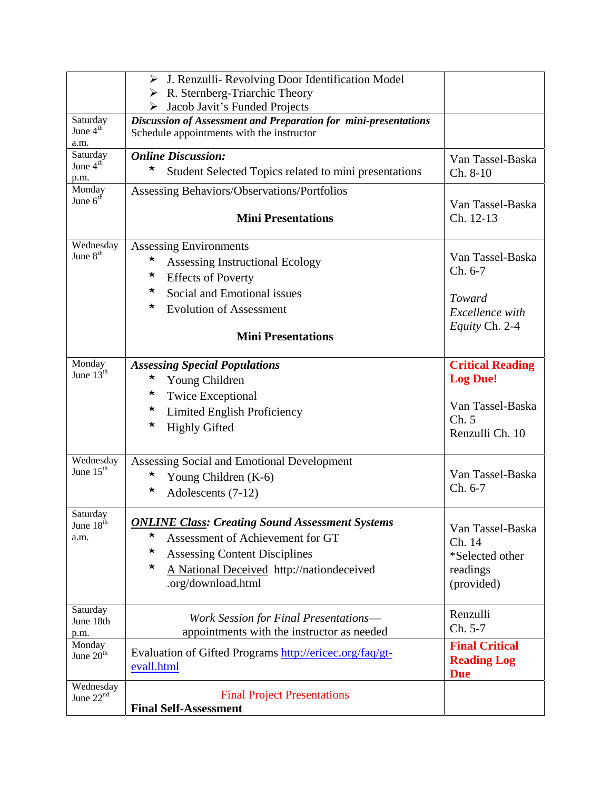|                                | > J. Renzulli- Revolving Door Identification Model                                                           |                               |
|--------------------------------|--------------------------------------------------------------------------------------------------------------|-------------------------------|
|                                | $\triangleright$ R. Sternberg-Triarchic Theory                                                               |                               |
|                                | $\triangleright$ Jacob Javit's Funded Projects                                                               |                               |
| Saturday<br>June $4th$<br>a.m. | Discussion of Assessment and Preparation for mini-presentations<br>Schedule appointments with the instructor |                               |
| Saturday                       | <b>Online Discussion:</b>                                                                                    | Van Tassel-Baska              |
| June 4 <sup>th</sup><br>p.m.   | *<br>Student Selected Topics related to mini presentations                                                   | Ch. 8-10                      |
| Monday<br>June $6th$           | Assessing Behaviors/Observations/Portfolios                                                                  |                               |
|                                | <b>Mini Presentations</b>                                                                                    | Van Tassel-Baska<br>Ch. 12-13 |
| Wednesday                      | <b>Assessing Environments</b>                                                                                |                               |
| June 8 <sup>th</sup>           | $\star$<br>Assessing Instructional Ecology                                                                   | Van Tassel-Baska              |
|                                | *<br><b>Effects of Poverty</b>                                                                               | Ch. 6-7                       |
|                                | *<br>Social and Emotional issues                                                                             | Toward                        |
|                                | *<br><b>Evolution of Assessment</b>                                                                          | Excellence with               |
|                                |                                                                                                              | Equity Ch. 2-4                |
|                                | <b>Mini Presentations</b>                                                                                    |                               |
| Monday                         | <b>Assessing Special Populations</b>                                                                         | <b>Critical Reading</b>       |
| June $13th$                    | $\star$<br>Young Children                                                                                    | <b>Log Due!</b>               |
|                                | *<br><b>Twice Exceptional</b>                                                                                |                               |
|                                | $\star$<br>Limited English Proficiency                                                                       | Van Tassel-Baska              |
|                                | *<br><b>Highly Gifted</b>                                                                                    | Ch. 5<br>Renzulli Ch. 10      |
|                                |                                                                                                              |                               |
| Wednesday                      | Assessing Social and Emotional Development                                                                   |                               |
| June 15 <sup>th</sup>          | $\star$<br>Young Children (K-6)                                                                              | Van Tassel-Baska              |
|                                | *<br>Adolescents (7-12)                                                                                      | Ch. 6-7                       |
| Saturday<br>June 18th          | <b>ONLINE Class: Creating Sound Assessment Systems</b>                                                       |                               |
| a.m.                           | *<br>Assessment of Achievement for GT                                                                        | Van Tassel-Baska<br>Ch. 14    |
|                                | *<br><b>Assessing Content Disciplines</b>                                                                    | *Selected other               |
|                                | *<br>A National Deceived http://nationdeceived                                                               | readings                      |
|                                | .org/download.html                                                                                           | (provided)                    |
| Saturday                       |                                                                                                              | Renzulli                      |
| June 18th                      | <b>Work Session for Final Presentations—</b><br>appointments with the instructor as needed                   | Ch. 5-7                       |
| p.m.<br>Monday                 |                                                                                                              | <b>Final Critical</b>         |
| June 20 <sup>th</sup>          | Evaluation of Gifted Programs http://ericec.org/faq/gt-                                                      | <b>Reading Log</b>            |
|                                | evall.html                                                                                                   | <b>Due</b>                    |
| Wednesday<br>June $22nd$       | <b>Final Project Presentations</b>                                                                           |                               |
|                                | <b>Final Self-Assessment</b>                                                                                 |                               |